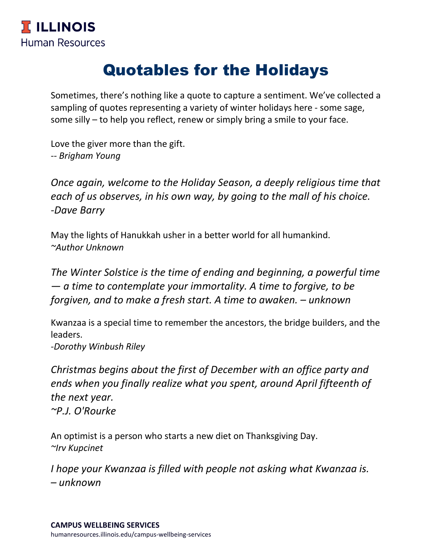## Quotables for the Holidays

Sometimes, there's nothing like a quote to capture a sentiment. We've collected a sampling of quotes representing a variety of winter holidays here - some sage, some silly – to help you reflect, renew or simply bring a smile to your face.

Love the giver more than the gift. *-- Brigham Young*

*Once again, welcome to the Holiday Season, a deeply religious time that each of us observes, in his own way, by going to the mall of his choice. -Dave Barry*

May the lights of Hanukkah usher in a better world for all humankind. *~Author Unknown*

*The Winter Solstice is the time of ending and beginning, a powerful time — a time to contemplate your immortality. A time to forgive, to be forgiven, and to make a fresh start. A time to awaken. – unknown*

Kwanzaa is a special time to remember the ancestors, the bridge builders, and the leaders.

*-Dorothy Winbush Riley*

*Christmas begins about the first of December with an office party and ends when you finally realize what you spent, around April fifteenth of the next year. ~P.J. O'Rourke*

An optimist is a person who starts a new diet on Thanksgiving Day. *~Irv Kupcinet*

*I hope your Kwanzaa is filled with people not asking what Kwanzaa is. – unknown*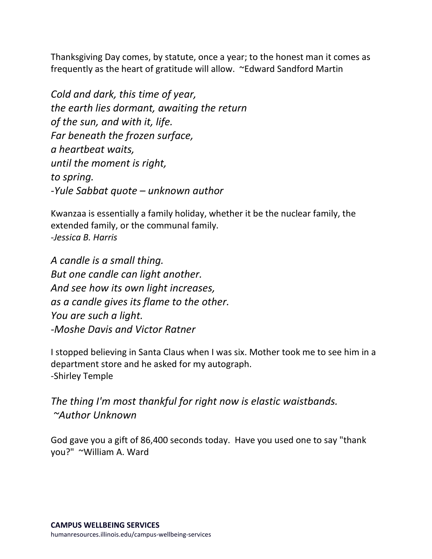Thanksgiving Day comes, by statute, once a year; to the honest man it comes as frequently as the heart of gratitude will allow. ~Edward Sandford Martin

*Cold and dark, this time of year, the earth lies dormant, awaiting the return of the sun, and with it, life. Far beneath the frozen surface, a heartbeat waits, until the moment is right, to spring. -Yule Sabbat quote – unknown author*

Kwanzaa is essentially a family holiday, whether it be the nuclear family, the extended family, or the communal family. *-Jessica B. Harris*

*A candle is a small thing. But one candle can light another. And see how its own light increases, as a candle gives its flame to the other. You are such a light. -Moshe Davis and Victor Ratner*

I stopped believing in Santa Claus when I was six. Mother took me to see him in a department store and he asked for my autograph. -Shirley Temple

*The thing I'm most thankful for right now is elastic waistbands. ~Author Unknown*

God gave you a gift of 86,400 seconds today. Have you used one to say "thank you?" ~William A. Ward